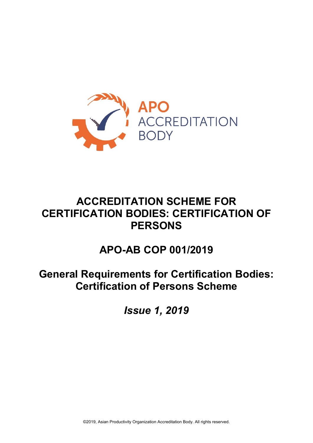

# **ACCREDITATION SCHEME FOR CERTIFICATION BODIES: CERTIFICATION OF PERSONS**

# **APO-AB COP 001/2019**

# **General Requirements for Certification Bodies: Certification of Persons Scheme**

*Issue 1, 2019*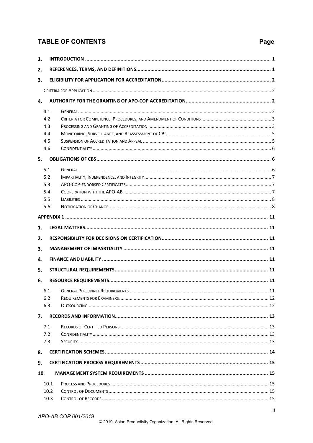# **TABLE OF CONTENTS**

# Page

| 1.         |      |  |
|------------|------|--|
| 2.         |      |  |
| 3.         |      |  |
|            |      |  |
| 4.         |      |  |
|            |      |  |
| 4.1        |      |  |
| 4.2        |      |  |
| 4.3        |      |  |
| 4.4<br>4.5 |      |  |
| 4.6        |      |  |
|            |      |  |
| 5.         |      |  |
| 5.1        |      |  |
| 5.2        |      |  |
| 5.3        |      |  |
| 5.4        |      |  |
| 5.5        |      |  |
| 5.6        |      |  |
|            |      |  |
| 1.         |      |  |
| 2.         |      |  |
| З.         |      |  |
| 4.         |      |  |
| 5.         |      |  |
| 6.         |      |  |
|            |      |  |
| 6.1        |      |  |
| 6.2        |      |  |
| 6.3        |      |  |
| 7.         |      |  |
| 7.1        |      |  |
| 7.2        |      |  |
| 7.3        |      |  |
| 8.         |      |  |
| 9.         |      |  |
|            |      |  |
| 10.        |      |  |
|            | 10.1 |  |
|            | 10.2 |  |
|            | 10.3 |  |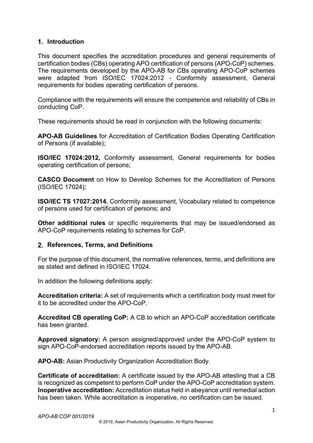# <span id="page-3-0"></span>**Introduction**

This document specifies the accreditation procedures and general requirements of certification bodies (CBs) operating APO certification of persons (APO-CoP) schemes. The requirements developed by the APO-AB for CBs operating APO-CoP schemes were adapted from ISO/IEC 17024:2012 - Conformity assessment, General requirements for bodies operating certification of persons.

Compliance with the requirements will ensure the competence and reliability of CBs in conducting CoP.

These requirements should be read in conjunction with the following documents:

**APO-AB Guidelines** for Accreditation of Certification Bodies Operating Certification of Persons (if available);

**ISO/IEC 17024:2012,** Conformity assessment, General requirements for bodies operating certification of persons;

**CASCO Document** on How to Develop Schemes for the Accreditation of Persons (ISO/IEC 17024);

**ISO/IEC TS 17027:2014**, Conformity assessment, Vocabulary related to competence of persons used for certification of persons; and

**Other additional rules** or specific requirements that may be issued/endorsed as APO-CoP requirements relating to schemes for CoP.

#### <span id="page-3-1"></span>**References, Terms, and Definitions**

For the purpose of this document, the normative references, terms, and definitions are as stated and defined in ISO/IEC 17024.

In addition the following definitions apply:

**Accreditation criteria:** A set of requirements which a certification body must meet for it to be accredited under the APO-CoP.

**Accredited CB operating CoP:** A CB to which an APO-CoP accreditation certificate has been granted.

**Approved signatory:** A person assigned/approved under the APO-CoP system to sign APO-CoP-endorsed accreditation reports issued by the APO-AB.

**APO-AB:** Asian Productivity Organization Accreditation Body.

**Certificate of accreditation:** A certificate issued by the APO-AB attesting that a CB is recognized as competent to perform CoP under the APO-CoP accreditation system. **Inoperative accreditation:** Accreditation status held in abeyance until remedial action has been taken. While accreditation is inoperative, no certification can be issued.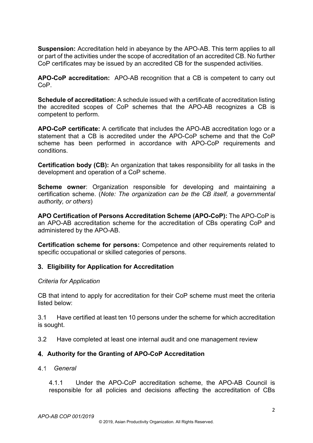**Suspension:** Accreditation held in abeyance by the APO-AB. This term applies to all or part of the activities under the scope of accreditation of an accredited CB. No further CoP certificates may be issued by an accredited CB for the suspended activities.

**APO-CoP accreditation:** APO-AB recognition that a CB is competent to carry out CoP.

**Schedule of accreditation:** A schedule issued with a certificate of accreditation listing the accredited scopes of CoP schemes that the APO-AB recognizes a CB is competent to perform.

**APO-CoP certificate:** A certificate that includes the APO-AB accreditation logo or a statement that a CB is accredited under the APO-CoP scheme and that the CoP scheme has been performed in accordance with APO-CoP requirements and conditions.

**Certification body (CB):** An organization that takes responsibility for all tasks in the development and operation of a CoP scheme.

**Scheme owner:** Organization responsible for developing and maintaining a certification scheme. (*Note: The organization can be the CB itself, a governmental authority, or others*)

**APO Certification of Persons Accreditation Scheme (APO-CoP):** The APO-CoP is an APO-AB accreditation scheme for the accreditation of CBs operating CoP and administered by the APO-AB.

**Certification scheme for persons:** Competence and other requirements related to specific occupational or skilled categories of persons.

# <span id="page-4-0"></span>**Eligibility for Application for Accreditation**

#### <span id="page-4-1"></span>*Criteria for Application*

CB that intend to apply for accreditation for their CoP scheme must meet the criteria listed below:

3.1 Have certified at least ten 10 persons under the scheme for which accreditation is sought.

3.2 Have completed at least one internal audit and one management review

# <span id="page-4-2"></span>**Authority for the Granting of APO-CoP Accreditation**

<span id="page-4-3"></span> *General*

4.1.1 Under the APO-CoP accreditation scheme, the APO-AB Council is responsible for all policies and decisions affecting the accreditation of CBs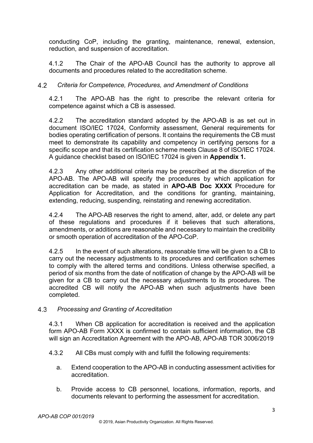conducting CoP, including the granting, maintenance, renewal, extension, reduction, and suspension of accreditation.

4.1.2 The Chair of the APO-AB Council has the authority to approve all documents and procedures related to the accreditation scheme.

# *Criteria for Competence, Procedures, and Amendment of Conditions*

<span id="page-5-0"></span>4.2.1 The APO-AB has the right to prescribe the relevant criteria for competence against which a CB is assessed.

4.2.2 The accreditation standard adopted by the APO-AB is as set out in document ISO/IEC 17024, Conformity assessment, General requirements for bodies operating certification of persons. It contains the requirements the CB must meet to demonstrate its capability and competency in certifying persons for a specific scope and that its certification scheme meets Clause 8 of ISO/IEC 17024. A guidance checklist based on ISO/IEC 17024 is given in **Appendix 1.**

4.2.3 Any other additional criteria may be prescribed at the discretion of the APO-AB. The APO-AB will specify the procedures by which application for accreditation can be made, as stated in **APO-AB Doc XXXX** Procedure for Application for Accreditation, and the conditions for granting, maintaining, extending, reducing, suspending, reinstating and renewing accreditation.

4.2.4 The APO-AB reserves the right to amend, alter, add, or delete any part of these regulations and procedures if it believes that such alterations, amendments, or additions are reasonable and necessary to maintain the credibility or smooth operation of accreditation of the APO-CoP.

4.2.5 In the event of such alterations, reasonable time will be given to a CB to carry out the necessary adjustments to its procedures and certification schemes to comply with the altered terms and conditions. Unless otherwise specified, a period of six months from the date of notification of change by the APO-AB will be given for a CB to carry out the necessary adjustments to its procedures. The accredited CB will notify the APO-AB when such adjustments have been completed.

# *Processing and Granting of Accreditation*

<span id="page-5-1"></span>4.3.1 When CB application for accreditation is received and the application form APO-AB Form XXXX is confirmed to contain sufficient information, the CB will sign an Accreditation Agreement with the APO-AB, APO-AB TOR 3006/2019

- 4.3.2 All CBs must comply with and fulfill the following requirements:
	- a. Extend cooperation to the APO-AB in conducting assessment activities for accreditation.
	- b. Provide access to CB personnel, locations, information, reports, and documents relevant to performing the assessment for accreditation.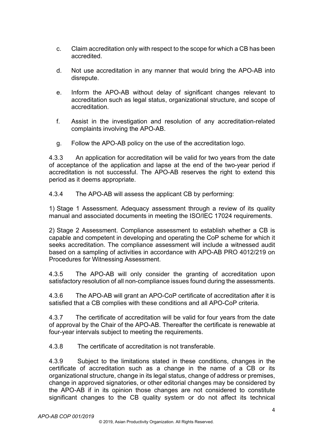- c. Claim accreditation only with respect to the scope for which a CB has been accredited.
- d. Not use accreditation in any manner that would bring the APO-AB into disrepute.
- e. Inform the APO-AB without delay of significant changes relevant to accreditation such as legal status, organizational structure, and scope of accreditation.
- f. Assist in the investigation and resolution of any accreditation-related complaints involving the APO-AB.
- g. Follow the APO-AB policy on the use of the accreditation logo.

4.3.3 An application for accreditation will be valid for two years from the date of acceptance of the application and lapse at the end of the two-year period if accreditation is not successful. The APO-AB reserves the right to extend this period as it deems appropriate.

4.3.4 The APO-AB will assess the applicant CB by performing:

1) Stage 1 Assessment. Adequacy assessment through a review of its quality manual and associated documents in meeting the ISO/IEC 17024 requirements.

2) Stage 2 Assessment. Compliance assessment to establish whether a CB is capable and competent in developing and operating the CoP scheme for which it seeks accreditation. The compliance assessment will include a witnessed audit based on a sampling of activities in accordance with APO-AB PRO 4012/219 on Procedures for Witnessing Assessment.

4.3.5 The APO-AB will only consider the granting of accreditation upon satisfactory resolution of all non-compliance issues found during the assessments.

4.3.6 The APO-AB will grant an APO-CoP certificate of accreditation after it is satisfied that a CB complies with these conditions and all APO-CoP criteria.

4.3.7 The certificate of accreditation will be valid for four years from the date of approval by the Chair of the APO-AB. Thereafter the certificate is renewable at four-year intervals subject to meeting the requirements.

4.3.8 The certificate of accreditation is not transferable.

4.3.9 Subject to the limitations stated in these conditions, changes in the certificate of accreditation such as a change in the name of a CB or its organizational structure, change in its legal status, change of address or premises, change in approved signatories, or other editorial changes may be considered by the APO-AB if in its opinion those changes are not considered to constitute significant changes to the CB quality system or do not affect its technical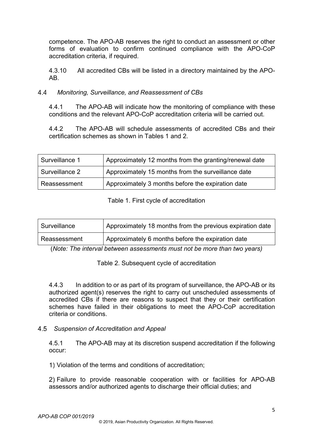competence. The APO-AB reserves the right to conduct an assessment or other forms of evaluation to confirm continued compliance with the APO-CoP accreditation criteria, if required.

4.3.10 All accredited CBs will be listed in a directory maintained by the APO-AB.

#### $4.4$  *Monitoring, Surveillance, and Reassessment of CBs*

<span id="page-7-0"></span>4.4.1 The APO-AB will indicate how the monitoring of compliance with these conditions and the relevant APO-CoP accreditation criteria will be carried out.

4.4.2 The APO-AB will schedule assessments of accredited CBs and their certification schemes as shown in Tables 1 and 2.

| Surveillance 1 | Approximately 12 months from the granting/renewal date |
|----------------|--------------------------------------------------------|
| Surveillance 2 | Approximately 15 months from the surveillance date     |
| Reassessment   | Approximately 3 months before the expiration date      |

#### Table 1. First cycle of accreditation

| Surveillance | Approximately 18 months from the previous expiration date |
|--------------|-----------------------------------------------------------|
| Reassessment | Approximately 6 months before the expiration date         |

(*Note: The interval between assessments must not be more than two years)*

Table 2. Subsequent cycle of accreditation

4.4.3 In addition to or as part of its program of surveillance, the APO-AB or its authorized agent(s) reserves the right to carry out unscheduled assessments of accredited CBs if there are reasons to suspect that they or their certification schemes have failed in their obligations to meet the APO-CoP accreditation criteria or conditions.

# <span id="page-7-1"></span> *Suspension of Accreditation and Appeal*

4.5.1 The APO-AB may at its discretion suspend accreditation if the following occur:

Violation of the terms and conditions of accreditation;

Failure to provide reasonable cooperation with or facilities for APO-AB assessors and/or authorized agents to discharge their official duties; and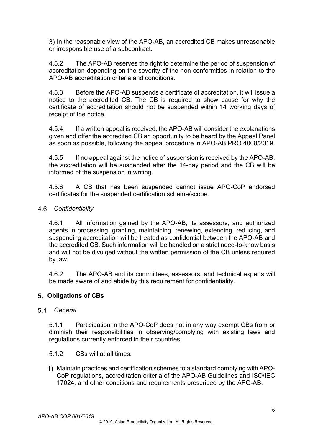3) In the reasonable view of the APO-AB, an accredited CB makes unreasonable or irresponsible use of a subcontract.

4.5.2 The APO-AB reserves the right to determine the period of suspension of accreditation depending on the severity of the non-conformities in relation to the APO-AB accreditation criteria and conditions.

4.5.3 Before the APO-AB suspends a certificate of accreditation, it will issue a notice to the accredited CB. The CB is required to show cause for why the certificate of accreditation should not be suspended within 14 working days of receipt of the notice.

4.5.4 If a written appeal is received, the APO-AB will consider the explanations given and offer the accredited CB an opportunity to be heard by the Appeal Panel as soon as possible, following the appeal procedure in APO-AB PRO 4008/2019.

4.5.5 If no appeal against the notice of suspension is received by the APO-AB, the accreditation will be suspended after the 14-day period and the CB will be informed of the suspension in writing.

4.5.6 A CB that has been suspended cannot issue APO-CoP endorsed certificates for the suspended certification scheme/scope.

### <span id="page-8-0"></span> *Confidentiality*

4.6.1 All information gained by the APO-AB, its assessors, and authorized agents in processing, granting, maintaining, renewing, extending, reducing, and suspending accreditation will be treated as confidential between the APO-AB and the accredited CB. Such information will be handled on a strict need-to-know basis and will not be divulged without the written permission of the CB unless required by law.

4.6.2 The APO-AB and its committees, assessors, and technical experts will be made aware of and abide by this requirement for confidentiality.

# <span id="page-8-1"></span>**Obligations of CBs**

#### <span id="page-8-2"></span> *General*

5.1.1 Participation in the APO-CoP does not in any way exempt CBs from or diminish their responsibilities in observing/complying with existing laws and regulations currently enforced in their countries.

- 5.1.2 CBs will at all times:
- Maintain practices and certification schemes to a standard complying with APO-CoP regulations, accreditation criteria of the APO-AB Guidelines and ISO/IEC 17024, and other conditions and requirements prescribed by the APO-AB.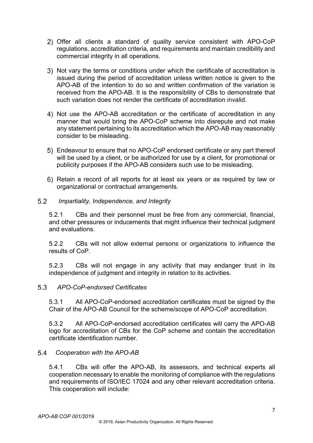- Offer all clients a standard of quality service consistent with APO-CoP regulations, accreditation criteria, and requirements and maintain credibility and commercial integrity in all operations.
- 3) Not vary the terms or conditions under which the certificate of accreditation is issued during the period of accreditation unless written notice is given to the APO-AB of the intention to do so and written confirmation of the variation is received from the APO-AB. It is the responsibility of CBs to demonstrate that such variation does not render the certificate of accreditation invalid.
- Not use the APO-AB accreditation or the certificate of accreditation in any manner that would bring the APO-CoP scheme into disrepute and not make any statement pertaining to its accreditation which the APO-AB may reasonably consider to be misleading.
- Endeavour to ensure that no APO-CoP endorsed certificate or any part thereof will be used by a client, or be authorized for use by a client, for promotional or publicity purposes if the APO-AB considers such use to be misleading.
- 6) Retain a record of all reports for at least six years or as required by law or organizational or contractual arrangements.

#### *Impartiality, Independence, and Integrity*

<span id="page-9-0"></span>5.2.1 CBs and their personnel must be free from any commercial, financial, and other pressures or inducements that might influence their technical judgment and evaluations.

5.2.2 CBs will not allow external persons or organizations to influence the results of CoP.

5.2.3 CBs will not engage in any activity that may endanger trust in its independence of judgment and integrity in relation to its activities.

#### *APO-CoP-endorsed Certificates*

<span id="page-9-1"></span>5.3.1 All APO-CoP-endorsed accreditation certificates must be signed by the Chair of the APO-AB Council for the scheme/scope of APO-CoP accreditation.

5.3.2 All APO-CoP-endorsed accreditation certificates will carry the APO-AB logo for accreditation of CBs for the CoP scheme and contain the accreditation certificate identification number.

# *Cooperation with the APO-AB*

<span id="page-9-2"></span>5.4.1 CBs will offer the APO-AB, its assessors, and technical experts all cooperation necessary to enable the monitoring of compliance with the regulations and requirements of ISO/IEC 17024 and any other relevant accreditation criteria. This cooperation will include: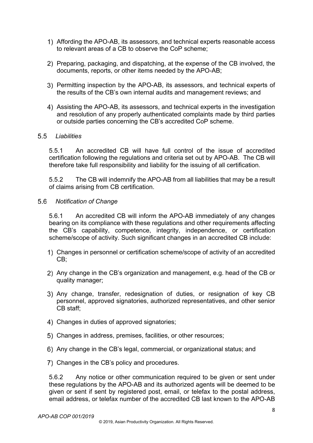- 1) Affording the APO-AB, its assessors, and technical experts reasonable access to relevant areas of a CB to observe the CoP scheme;
- 2) Preparing, packaging, and dispatching, at the expense of the CB involved, the documents, reports, or other items needed by the APO-AB;
- 3) Permitting inspection by the APO-AB, its assessors, and technical experts of the results of the CB's own internal audits and management reviews; and
- Assisting the APO-AB, its assessors, and technical experts in the investigation and resolution of any properly authenticated complaints made by third parties or outside parties concerning the CB's accredited CoP scheme.

#### *Liabilities*

<span id="page-10-0"></span>5.5.1 An accredited CB will have full control of the issue of accredited certification following the regulations and criteria set out by APO-AB. The CB will therefore take full responsibility and liability for the issuing of all certification.

5.5.2 The CB will indemnify the APO-AB from all liabilities that may be a result of claims arising from CB certification.

#### *Notification of Change*

<span id="page-10-1"></span>5.6.1 An accredited CB will inform the APO-AB immediately of any changes bearing on its compliance with these regulations and other requirements affecting the CB's capability, competence, integrity, independence, or certification scheme/scope of activity. Such significant changes in an accredited CB include:

- Changes in personnel or certification scheme/scope of activity of an accredited CB;
- Any change in the CB's organization and management, e.g. head of the CB or quality manager;
- Any change, transfer, redesignation of duties, or resignation of key CB personnel, approved signatories, authorized representatives, and other senior CB staff;
- Changes in duties of approved signatories;
- Changes in address, premises, facilities, or other resources;
- Any change in the CB's legal, commercial, or organizational status; and
- 7) Changes in the CB's policy and procedures.

5.6.2 Any notice or other communication required to be given or sent under these regulations by the APO-AB and its authorized agents will be deemed to be given or sent if sent by registered post, email, or telefax to the postal address, email address, or telefax number of the accredited CB last known to the APO-AB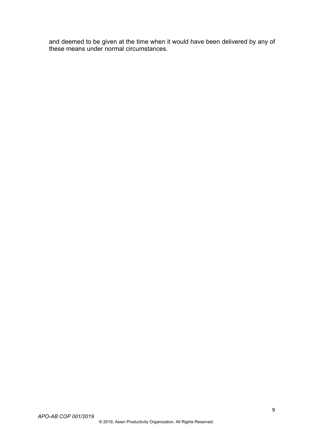and deemed to be given at the time when it would have been delivered by any of these means under normal circumstances.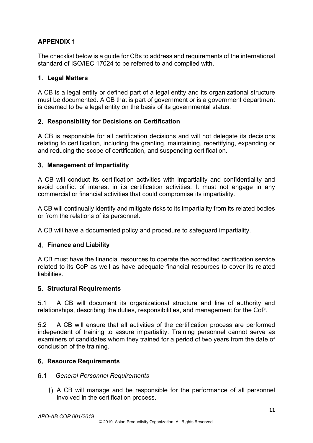# <span id="page-13-0"></span>**APPENDIX 1**

The checklist below is a guide for CBs to address and requirements of the international standard of ISO/IEC 17024 to be referred to and complied with.

## <span id="page-13-1"></span>**Legal Matters**

A CB is a legal entity or defined part of a legal entity and its organizational structure must be documented. A CB that is part of government or is a government department is deemed to be a legal entity on the basis of its governmental status.

### <span id="page-13-2"></span>**Responsibility for Decisions on Certification**

A CB is responsible for all certification decisions and will not delegate its decisions relating to certification, including the granting, maintaining, recertifying, expanding or and reducing the scope of certification, and suspending certification.

#### <span id="page-13-3"></span>**Management of Impartiality**

A CB will conduct its certification activities with impartiality and confidentiality and avoid conflict of interest in its certification activities. It must not engage in any commercial or financial activities that could compromise its impartiality.

A CB will continually identify and mitigate risks to its impartiality from its related bodies or from the relations of its personnel.

A CB will have a documented policy and procedure to safeguard impartiality.

# <span id="page-13-4"></span>**Finance and Liability**

A CB must have the financial resources to operate the accredited certification service related to its CoP as well as have adequate financial resources to cover its related liabilities.

#### <span id="page-13-5"></span>**Structural Requirements**

5.1 A CB will document its organizational structure and line of authority and relationships, describing the duties, responsibilities, and management for the CoP.

5.2 A CB will ensure that all activities of the certification process are performed independent of training to assure impartiality. Training personnel cannot serve as examiners of candidates whom they trained for a period of two years from the date of conclusion of the training.

#### <span id="page-13-6"></span>**Resource Requirements**

#### <span id="page-13-7"></span> *General Personnel Requirements*

A CB will manage and be responsible for the performance of all personnel involved in the certification process.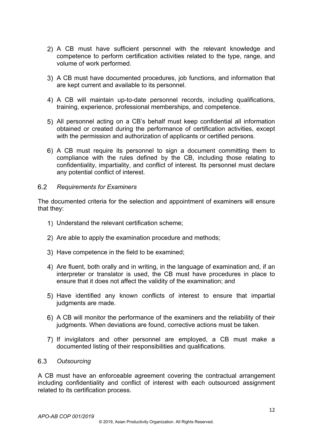- 2) A CB must have sufficient personnel with the relevant knowledge and competence to perform certification activities related to the type, range, and volume of work performed.
- A CB must have documented procedures, job functions, and information that are kept current and available to its personnel.
- A CB will maintain up-to-date personnel records, including qualifications, training, experience, professional memberships, and competence.
- All personnel acting on a CB's behalf must keep confidential all information obtained or created during the performance of certification activities, except with the permission and authorization of applicants or certified persons.
- A CB must require its personnel to sign a document committing them to compliance with the rules defined by the CB, including those relating to confidentiality, impartiality, and conflict of interest. Its personnel must declare any potential conflict of interest.

#### <span id="page-14-0"></span> $6.2$ *Requirements for Examiners*

The documented criteria for the selection and appointment of examiners will ensure that they:

- Understand the relevant certification scheme;
- 2) Are able to apply the examination procedure and methods;
- 3) Have competence in the field to be examined;
- Are fluent, both orally and in writing, in the language of examination and, if an interpreter or translator is used, the CB must have procedures in place to ensure that it does not affect the validity of the examination; and
- Have identified any known conflicts of interest to ensure that impartial judgments are made.
- A CB will monitor the performance of the examiners and the reliability of their judgments. When deviations are found, corrective actions must be taken.
- If invigilators and other personnel are employed, a CB must make a documented listing of their responsibilities and qualifications.

#### <span id="page-14-1"></span> *Outsourcing*

A CB must have an enforceable agreement covering the contractual arrangement including confidentiality and conflict of interest with each outsourced assignment related to its certification process.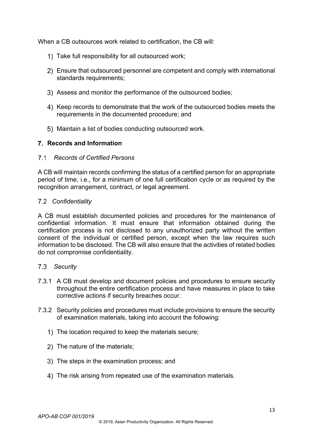When a CB outsources work related to certification, the CB will:

- 1) Take full responsibility for all outsourced work;
- Ensure that outsourced personnel are competent and comply with international standards requirements;
- Assess and monitor the performance of the outsourced bodies;
- 4) Keep records to demonstrate that the work of the outsourced bodies meets the requirements in the documented procedure; and
- Maintain a list of bodies conducting outsourced work.

#### <span id="page-15-0"></span>**Records and Information**

#### <span id="page-15-1"></span> *Records of Certified Persons*

A CB will maintain records confirming the status of a certified person for an appropriate period of time, i.e., for a minimum of one full certification cycle or as required by the recognition arrangement, contract, or legal agreement.

#### <span id="page-15-2"></span> *Confidentiality*

A CB must establish documented policies and procedures for the maintenance of confidential information. It must ensure that information obtained during the certification process is not disclosed to any unauthorized party without the written consent of the individual or certified person, except when the law requires such information to be disclosed. The CB will also ensure that the activities of related bodies do not compromise confidentiality.

#### <span id="page-15-3"></span> *Security*

- 7.3.1 A CB must develop and document policies and procedures to ensure security throughout the entire certification process and have measures in place to take corrective actions if security breaches occur.
- 7.3.2 Security policies and procedures must include provisions to ensure the security of examination materials, taking into account the following:
	- 1) The location required to keep the materials secure:
	- 2) The nature of the materials;
	- 3) The steps in the examination process; and
	- The risk arising from repeated use of the examination materials.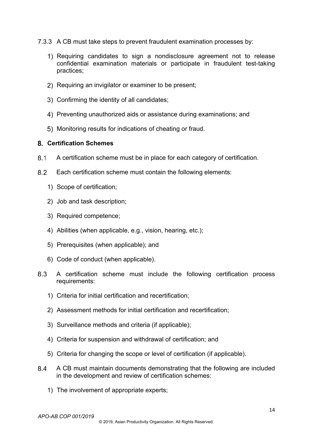- 7.3.3 A CB must take steps to prevent fraudulent examination processes by:
	- 1) Requiring candidates to sign a nondisclosure agreement not to release confidential examination materials or participate in fraudulent test-taking practices;
	- 2) Requiring an invigilator or examiner to be present;
	- Confirming the identity of all candidates;
	- Preventing unauthorized aids or assistance during examinations; and
	- Monitoring results for indications of cheating or fraud.

### <span id="page-16-0"></span>**Certification Schemes**

- $8.1$ A certification scheme must be in place for each category of certification.
- 8.2 Each certification scheme must contain the following elements:
	- 1) Scope of certification;
	- 2) Job and task description;
	- 3) Required competence;
	- 4) Abilities (when applicable, e.g., vision, hearing, etc.);
	- 5) Prerequisites (when applicable); and
	- 6) Code of conduct (when applicable).
- 8.3 A certification scheme must include the following certification process requirements:
	- 1) Criteria for initial certification and recertification;
	- 2) Assessment methods for initial certification and recertification;
	- 3) Surveillance methods and criteria (if applicable);
	- 4) Criteria for suspension and withdrawal of certification; and
	- 5) Criteria for changing the scope or level of certification (if applicable).
- 8.4 A CB must maintain documents demonstrating that the following are included in the development and review of certification schemes:
	- 1) The involvement of appropriate experts;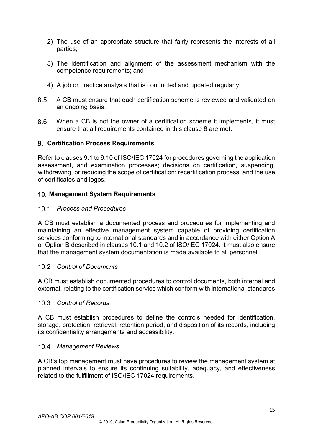- 2) The use of an appropriate structure that fairly represents the interests of all parties;
- 3) The identification and alignment of the assessment mechanism with the competence requirements; and
- 4) A job or practice analysis that is conducted and updated regularly.
- 8.5 A CB must ensure that each certification scheme is reviewed and validated on an ongoing basis.
- 8.6 When a CB is not the owner of a certification scheme it implements, it must ensure that all requirements contained in this clause 8 are met.

#### <span id="page-17-0"></span>**Certification Process Requirements**

Refer to clauses 9.1 to 9.10 of ISO/IEC 17024 for procedures governing the application, assessment, and examination processes; decisions on certification, suspending, withdrawing, or reducing the scope of certification; recertification process; and the use of certificates and logos.

#### <span id="page-17-1"></span>**Management System Requirements**

#### <span id="page-17-2"></span>*Process and Procedures*

A CB must establish a documented process and procedures for implementing and maintaining an effective management system capable of providing certification services conforming to international standards and in accordance with either Option A or Option B described in clauses 10.1 and 10.2 of ISO/IEC 17024. It must also ensure that the management system documentation is made available to all personnel.

#### <span id="page-17-3"></span>*Control of Documents*

A CB must establish documented procedures to control documents, both internal and external, relating to the certification service which conform with international standards.

#### <span id="page-17-4"></span>*Control of Records*

A CB must establish procedures to define the controls needed for identification, storage, protection, retrieval, retention period, and disposition of its records, including its confidentiality arrangements and accessibility.

#### <span id="page-17-5"></span>*Management Reviews*

A CB's top management must have procedures to review the management system at planned intervals to ensure its continuing suitability, adequacy, and effectiveness related to the fulfillment of ISO/IEC 17024 requirements.